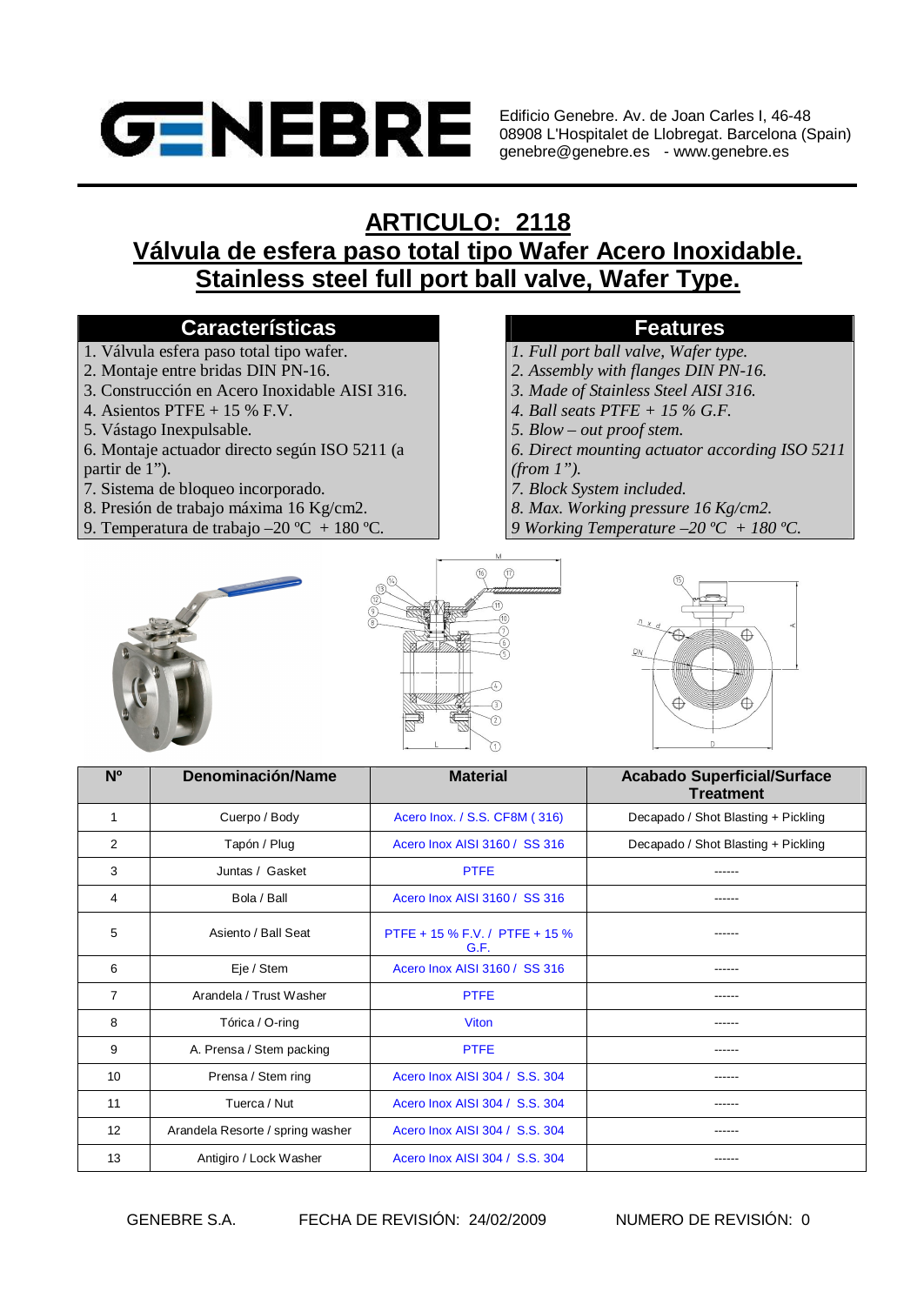

Edificio Genebre. Av. de Joan Carles I, 46-48 08908 L'Hospitalet de Llobregat. Barcelona (Spain) genebre@genebre.es - www.genebre.es

## **ARTICULO: 2118**

**Válvula de esfera paso total tipo Wafer Acero Inoxidable. Stainless steel full port ball valve, Wafer Type.**

### **Características Features**

- 1. Válvula esfera paso total tipo wafer.
- 2. Montaje entre bridas DIN PN-16.
- 3. Construcción en Acero Inoxidable AISI 316.
- 4. Asientos PTFE + 15 % F.V.
- 5. Vástago Inexpulsable.
- 6. Montaje actuador directo según ISO 5211 (a partir de 1").
- 7. Sistema de bloqueo incorporado.
- 8. Presión de trabajo máxima 16 Kg/cm2.
- 9. Temperatura de trabajo –20 °C + 180 °C.

- *1. Full port ball valve, Wafer type.*
- *2. Assembly with flanges DIN PN-16.*
- *3. Made of Stainless Steel AISI 316.*
- *4. Ball seats PTFE + 15 % G.F.*
- *5. Blow out proof stem.*
- *6. Direct mounting actuator according ISO 5211 (from 1").*
- *7. Block System included.*
- *8. Max. Working pressure 16 Kg/cm2.*
- *9 Working Temperature –20 ºC + 180 ºC.*







| N <sub>o</sub> | Denominación/Name                | <b>Material</b>                        | <b>Acabado Superficial/Surface</b><br><b>Treatment</b> |  |
|----------------|----------------------------------|----------------------------------------|--------------------------------------------------------|--|
| 1              | Cuerpo / Body                    | Acero Inox. / S.S. CF8M (316)          | Decapado / Shot Blasting + Pickling                    |  |
| 2              | Tapón / Plug                     | Acero Inox AISI 3160 / SS 316          | Decapado / Shot Blasting + Pickling                    |  |
| 3              | Juntas / Gasket                  | <b>PTFE</b>                            |                                                        |  |
| 4              | Bola / Ball                      | Acero Inox AISI 3160 / SS 316          | ------                                                 |  |
| 5              | Asiento / Ball Seat              | PTFE + 15 % F.V. / PTFE + 15 %<br>G.F. |                                                        |  |
| 6              | Eje / Stem                       | Acero Inox AISI 3160 / SS 316          |                                                        |  |
| $\overline{7}$ | Arandela / Trust Washer          | <b>PTFE</b>                            | ------                                                 |  |
| 8              | Tórica / O-ring                  | <b>Viton</b>                           |                                                        |  |
| 9              | A. Prensa / Stem packing         | <b>PTFE</b>                            | -----                                                  |  |
| 10             | Prensa / Stem ring               | Acero Inox AISI 304 / S.S. 304         |                                                        |  |
| 11             | Tuerca / Nut                     | Acero Inox AISI 304 / S.S. 304         |                                                        |  |
| 12             | Arandela Resorte / spring washer | Acero Inox AISI 304 / S.S. 304         |                                                        |  |
| 13             | Antigiro / Lock Washer           | Acero Inox AISI 304 / S.S. 304         | ------                                                 |  |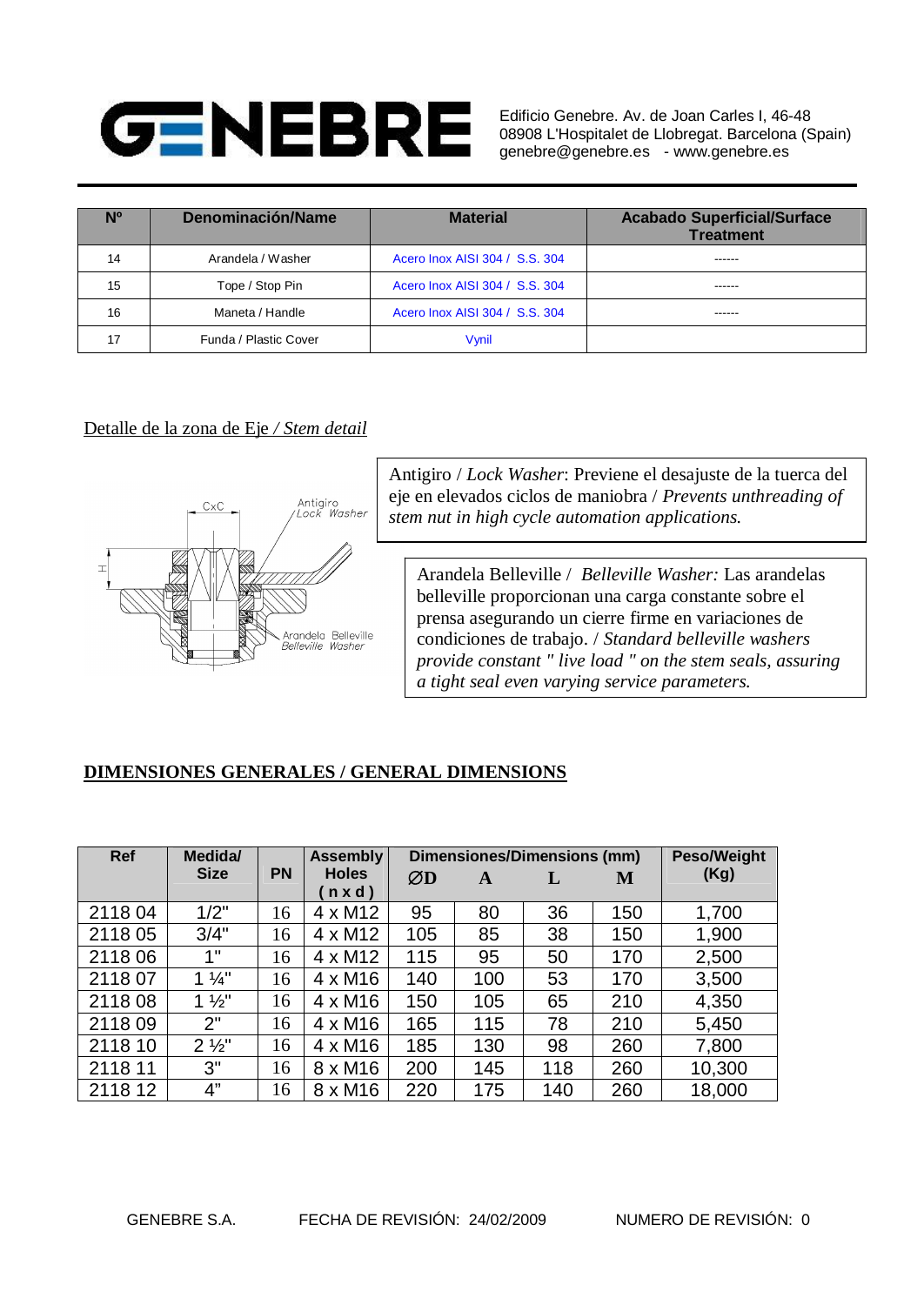# **GENEBRE**

Edificio Genebre. Av. de Joan Carles I, 46-48 08908 L'Hospitalet de Llobregat. Barcelona (Spain) genebre@genebre.es - www.genebre.es

| Ν° | Denominación/Name     | <b>Material</b>                | <b>Acabado Superficial/Surface</b><br><b>Treatment</b> |
|----|-----------------------|--------------------------------|--------------------------------------------------------|
| 14 | Arandela / Washer     | Acero Inox AISI 304 / S.S. 304 | ------                                                 |
| 15 | Tope / Stop Pin       | Acero Inox AISI 304 / S.S. 304 | ------                                                 |
| 16 | Maneta / Handle       | Acero Inox AISI 304 / S.S. 304 | ------                                                 |
| 17 | Funda / Plastic Cover | Vvnil                          |                                                        |

### Detalle de la zona de Eje */ Stem detail*



Antigiro / *Lock Washer*: Previene el desajuste de la tuerca del eje en elevados ciclos de maniobra / *Prevents unthreading of stem nut in high cycle automation applications.*

Arandela Belleville / *Belleville Washer:* Las arandelas belleville proporcionan una carga constante sobre el prensa asegurando un cierre firme en variaciones de condiciones de trabajo. / *Standard belleville washers provide constant " live load " on the stem seals, assuring a tight seal even varying service parameters.*

### **DIMENSIONES GENERALES / GENERAL DIMENSIONS**

| <b>Ref</b> | Medida/<br><b>Dimensiones/Dimensions (mm)</b><br><b>Assembly</b> |           |                                |     |     | <b>Peso/Weight</b> |     |        |
|------------|------------------------------------------------------------------|-----------|--------------------------------|-----|-----|--------------------|-----|--------|
|            | <b>Size</b>                                                      | <b>PN</b> | <b>Holes</b><br>$n \times d$ ) | ØD  | A   |                    | M   | (Kg)   |
| 211804     | 1/2"                                                             | 16        | $4 \times M12$                 | 95  | 80  | 36                 | 150 | 1,700  |
| 211805     | 3/4"                                                             | 16        | $4 \times M12$                 | 105 | 85  | 38                 | 150 | 1,900  |
| 211806     | 1"                                                               | 16        | $4 \times M12$                 | 115 | 95  | 50                 | 170 | 2,500  |
| 211807     | $1\frac{1}{4}$                                                   | 16        | $4 \times M16$                 | 140 | 100 | 53                 | 170 | 3,500  |
| 211808     | $1\frac{1}{2}$                                                   | 16        | $4 \times M16$                 | 150 | 105 | 65                 | 210 | 4,350  |
| 211809     | 2"                                                               | 16        | $4 \times M16$                 | 165 | 115 | 78                 | 210 | 5,450  |
| 2118 10    | $2\frac{1}{2}$ "                                                 | 16        | $4 \times M16$                 | 185 | 130 | 98                 | 260 | 7,800  |
| 2118 11    | 3"                                                               | 16        | 8 x M16                        | 200 | 145 | 118                | 260 | 10,300 |
| 2118 12    | 4"                                                               | 16        | 8 x M16                        | 220 | 175 | 140                | 260 | 18,000 |